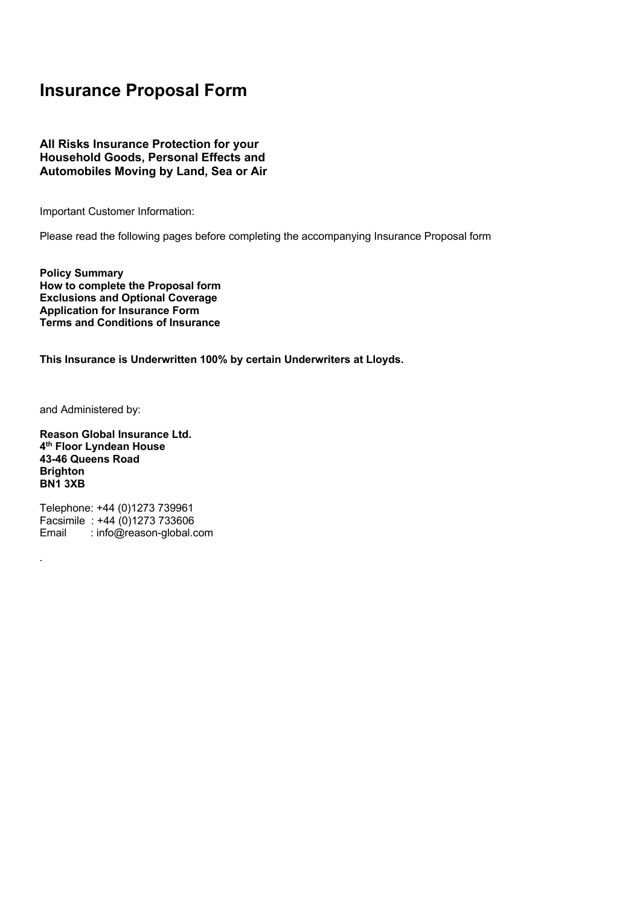# **Insurance Proposal Form**

# **All Risks Insurance Protection for your Household Goods, Personal Effects and Automobiles Moving by Land, Sea or Air**

Important Customer Information:

Please read the following pages before completing the accompanying Insurance Proposal form

**Policy Summary How to complete the Proposal form Exclusions and Optional Coverage Application for Insurance Form Terms and Conditions of Insurance**

**This Insurance is Underwritten 100% by certain Underwriters at Lloyds.**

and Administered by:

*.* 

**Reason Global Insurance Ltd. 4th Floor Lyndean House 43-46 Queens Road Brighton BN1 3XB**

Telephone: +44 (0)1273 739961 Facsimile : +44 (0)1273 733606 Email : info@reason-global.com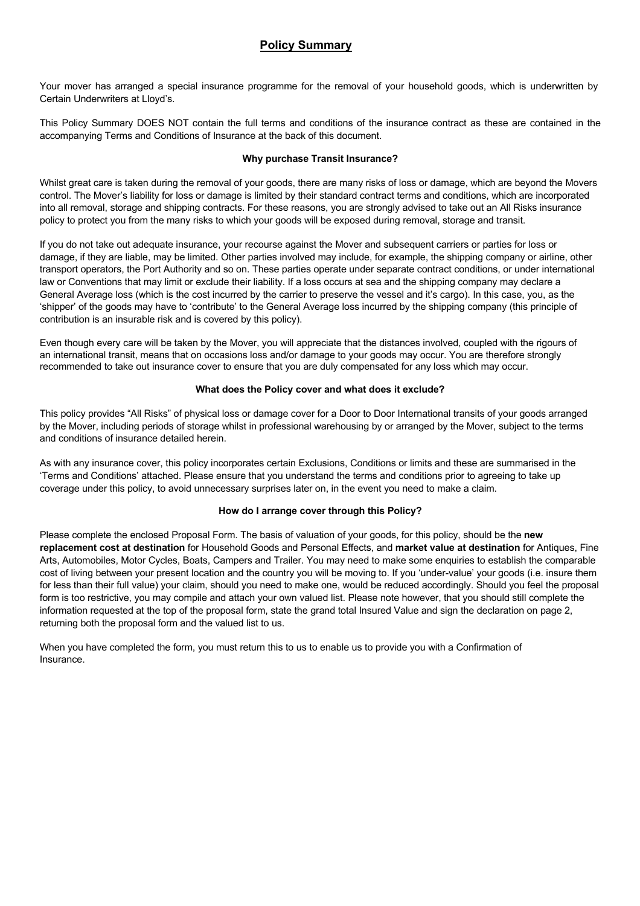# **Policy Summary**

Your mover has arranged a special insurance programme for the removal of your household goods, which is underwritten by Certain Underwriters at Lloyd's.

This Policy Summary DOES NOT contain the full terms and conditions of the insurance contract as these are contained in the accompanying Terms and Conditions of Insurance at the back of this document.

# **Why purchase Transit Insurance?**

Whilst great care is taken during the removal of your goods, there are many risks of loss or damage, which are beyond the Movers control. The Mover's liability for loss or damage is limited by their standard contract terms and conditions, which are incorporated into all removal, storage and shipping contracts. For these reasons, you are strongly advised to take out an All Risks insurance policy to protect you from the many risks to which your goods will be exposed during removal, storage and transit.

If you do not take out adequate insurance, your recourse against the Mover and subsequent carriers or parties for loss or damage, if they are liable, may be limited. Other parties involved may include, for example, the shipping company or airline, other transport operators, the Port Authority and so on. These parties operate under separate contract conditions, or under international law or Conventions that may limit or exclude their liability. If a loss occurs at sea and the shipping company may declare a General Average loss (which is the cost incurred by the carrier to preserve the vessel and it's cargo). In this case, you, as the 'shipper' of the goods may have to 'contribute' to the General Average loss incurred by the shipping company (this principle of contribution is an insurable risk and is covered by this policy).

Even though every care will be taken by the Mover, you will appreciate that the distances involved, coupled with the rigours of an international transit, means that on occasions loss and/or damage to your goods may occur. You are therefore strongly recommended to take out insurance cover to ensure that you are duly compensated for any loss which may occur.

# **What does the Policy cover and what does it exclude?**

This policy provides "All Risks" of physical loss or damage cover for a Door to Door International transits of your goods arranged by the Mover, including periods of storage whilst in professional warehousing by or arranged by the Mover, subject to the terms and conditions of insurance detailed herein.

As with any insurance cover, this policy incorporates certain Exclusions, Conditions or limits and these are summarised in the 'Terms and Conditions' attached. Please ensure that you understand the terms and conditions prior to agreeing to take up coverage under this policy, to avoid unnecessary surprises later on, in the event you need to make a claim.

# **How do I arrange cover through this Policy?**

Please complete the enclosed Proposal Form. The basis of valuation of your goods, for this policy, should be the **new replacement cost at destination** for Household Goods and Personal Effects, and **market value at destination** for Antiques, Fine Arts, Automobiles, Motor Cycles, Boats, Campers and Trailer. You may need to make some enquiries to establish the comparable cost of living between your present location and the country you will be moving to. If you 'under-value' your goods (i.e. insure them for less than their full value) your claim, should you need to make one, would be reduced accordingly. Should you feel the proposal form is too restrictive, you may compile and attach your own valued list. Please note however, that you should still complete the information requested at the top of the proposal form, state the grand total Insured Value and sign the declaration on page 2, returning both the proposal form and the valued list to us.

When you have completed the form, you must return this to us to enable us to provide you with a Confirmation of Insurance.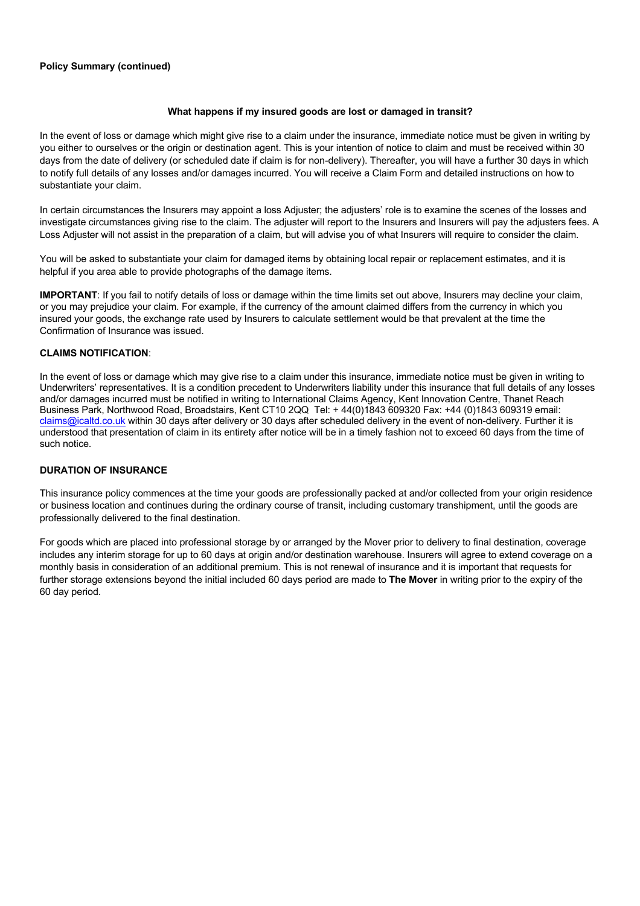# **Policy Summary (continued)**

# **What happens if my insured goods are lost or damaged in transit?**

In the event of loss or damage which might give rise to a claim under the insurance, immediate notice must be given in writing by you either to ourselves or the origin or destination agent. This is your intention of notice to claim and must be received within 30 days from the date of delivery (or scheduled date if claim is for non-delivery). Thereafter, you will have a further 30 days in which to notify full details of any losses and/or damages incurred. You will receive a Claim Form and detailed instructions on how to substantiate your claim.

In certain circumstances the Insurers may appoint a loss Adjuster; the adjusters' role is to examine the scenes of the losses and investigate circumstances giving rise to the claim. The adjuster will report to the Insurers and Insurers will pay the adjusters fees. A Loss Adjuster will not assist in the preparation of a claim, but will advise you of what Insurers will require to consider the claim.

You will be asked to substantiate your claim for damaged items by obtaining local repair or replacement estimates, and it is helpful if you area able to provide photographs of the damage items.

**IMPORTANT**: If you fail to notify details of loss or damage within the time limits set out above, Insurers may decline your claim, or you may prejudice your claim. For example, if the currency of the amount claimed differs from the currency in which you insured your goods, the exchange rate used by Insurers to calculate settlement would be that prevalent at the time the Confirmation of Insurance was issued.

# **CLAIMS NOTIFICATION**:

In the event of loss or damage which may give rise to a claim under this insurance, immediate notice must be given in writing to Underwriters' representatives. It is a condition precedent to Underwriters liability under this insurance that full details of any losses and/or damages incurred must be notified in writing to International Claims Agency, Kent Innovation Centre, Thanet Reach Business Park, Northwood Road, Broadstairs, Kent CT10 2QQ Tel: + 44(0)1843 609320 Fax: +44 (0)1843 609319 email: claims@icaltd.co.uk within 30 days after delivery or 30 days after scheduled delivery in the event of non-delivery. Further it is understood that presentation of claim in its entirety after notice will be in a timely fashion not to exceed 60 days from the time of such notice.

# **DURATION OF INSURANCE**

This insurance policy commences at the time your goods are professionally packed at and/or collected from your origin residence or business location and continues during the ordinary course of transit, including customary transhipment, until the goods are professionally delivered to the final destination.

For goods which are placed into professional storage by or arranged by the Mover prior to delivery to final destination, coverage includes any interim storage for up to 60 days at origin and/or destination warehouse. Insurers will agree to extend coverage on a monthly basis in consideration of an additional premium. This is not renewal of insurance and it is important that requests for further storage extensions beyond the initial included 60 days period are made to **The Mover** in writing prior to the expiry of the 60 day period.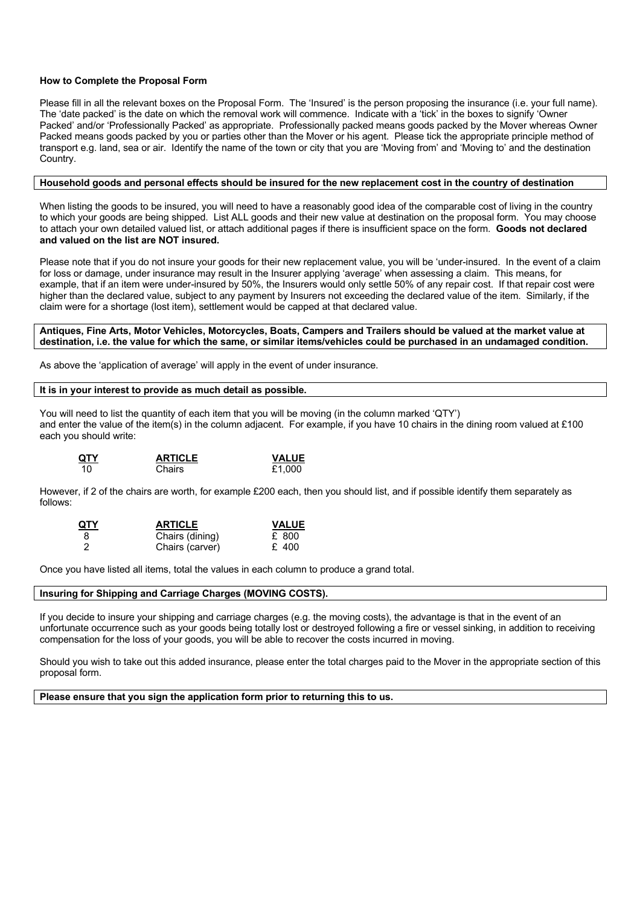# **How to Complete the Proposal Form**

Please fill in all the relevant boxes on the Proposal Form. The 'Insured' is the person proposing the insurance (i.e. your full name). The 'date packed' is the date on which the removal work will commence. Indicate with a 'tick' in the boxes to signify 'Owner Packed' and/or 'Professionally Packed' as appropriate. Professionally packed means goods packed by the Mover whereas Owner Packed means goods packed by you or parties other than the Mover or his agent. Please tick the appropriate principle method of transport e.g. land, sea or air. Identify the name of the town or city that you are 'Moving from' and 'Moving to' and the destination Country.

# **Household goods and personal effects should be insured for the new replacement cost in the country of destination**

When listing the goods to be insured, you will need to have a reasonably good idea of the comparable cost of living in the country to which your goods are being shipped. List ALL goods and their new value at destination on the proposal form. You may choose to attach your own detailed valued list, or attach additional pages if there is insufficient space on the form. **Goods not declared and valued on the list are NOT insured.**

Please note that if you do not insure your goods for their new replacement value, you will be 'under-insured. In the event of a claim for loss or damage, under insurance may result in the Insurer applying 'average' when assessing a claim. This means, for example, that if an item were under-insured by 50%, the Insurers would only settle 50% of any repair cost. If that repair cost were higher than the declared value, subject to any payment by Insurers not exceeding the declared value of the item. Similarly, if the claim were for a shortage (lost item), settlement would be capped at that declared value.

### **Antiques, Fine Arts, Motor Vehicles, Motorcycles, Boats, Campers and Trailers should be valued at the market value at destination, i.e. the value for which the same, or similar items/vehicles could be purchased in an undamaged condition.**

As above the 'application of average' will apply in the event of under insurance.

### **It is in your interest to provide as much detail as possible.**

You will need to list the quantity of each item that you will be moving (in the column marked 'QTY') and enter the value of the item(s) in the column adjacent. For example, if you have 10 chairs in the dining room valued at £100 each you should write:

| QTY | <b>ARTICLE</b> | <b>VALUE</b> |
|-----|----------------|--------------|
| 10  | Chairs         | £1.000       |

However, if 2 of the chairs are worth, for example £200 each, then you should list, and if possible identify them separately as follows:

| <u>QTY</u>     | <b>ARTICLE</b>  | <b>VALUE</b> |
|----------------|-----------------|--------------|
| 8              | Chairs (dining) | £ 800        |
| $\overline{2}$ | Chairs (carver) | £ 400        |

Once you have listed all items, total the values in each column to produce a grand total.

# **Insuring for Shipping and Carriage Charges (MOVING COSTS).**

If you decide to insure your shipping and carriage charges (e.g. the moving costs), the advantage is that in the event of an unfortunate occurrence such as your goods being totally lost or destroyed following a fire or vessel sinking, in addition to receiving compensation for the loss of your goods, you will be able to recover the costs incurred in moving.

Should you wish to take out this added insurance, please enter the total charges paid to the Mover in the appropriate section of this proposal form.

**Please ensure that you sign the application form prior to returning this to us.**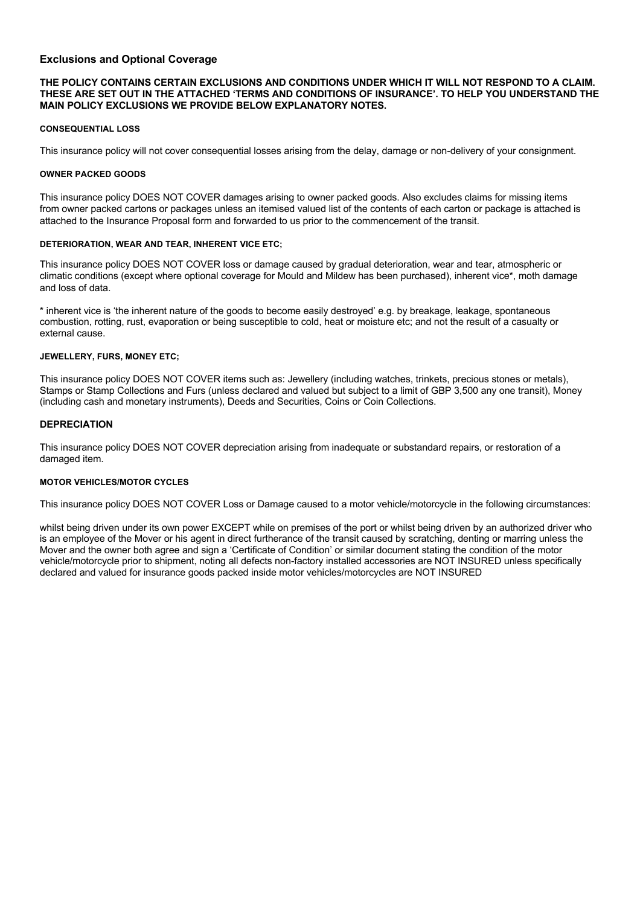# **Exclusions and Optional Coverage**

# **THE POLICY CONTAINS CERTAIN EXCLUSIONS AND CONDITIONS UNDER WHICH IT WILL NOT RESPOND TO A CLAIM. THESE ARE SET OUT IN THE ATTACHED 'TERMS AND CONDITIONS OF INSURANCE'. TO HELP YOU UNDERSTAND THE MAIN POLICY EXCLUSIONS WE PROVIDE BELOW EXPLANATORY NOTES.**

# **CONSEQUENTIAL LOSS**

This insurance policy will not cover consequential losses arising from the delay, damage or non-delivery of your consignment.

# **OWNER PACKED GOODS**

This insurance policy DOES NOT COVER damages arising to owner packed goods. Also excludes claims for missing items from owner packed cartons or packages unless an itemised valued list of the contents of each carton or package is attached is attached to the Insurance Proposal form and forwarded to us prior to the commencement of the transit.

# **DETERIORATION, WEAR AND TEAR, INHERENT VICE ETC;**

This insurance policy DOES NOT COVER loss or damage caused by gradual deterioration, wear and tear, atmospheric or climatic conditions (except where optional coverage for Mould and Mildew has been purchased), inherent vice\*, moth damage and loss of data.

\* inherent vice is 'the inherent nature of the goods to become easily destroyed' e.g. by breakage, leakage, spontaneous combustion, rotting, rust, evaporation or being susceptible to cold, heat or moisture etc; and not the result of a casualty or external cause.

## **JEWELLERY, FURS, MONEY ETC;**

This insurance policy DOES NOT COVER items such as: Jewellery (including watches, trinkets, precious stones or metals), Stamps or Stamp Collections and Furs (unless declared and valued but subject to a limit of GBP 3,500 any one transit), Money (including cash and monetary instruments), Deeds and Securities, Coins or Coin Collections.

# **DEPRECIATION**

This insurance policy DOES NOT COVER depreciation arising from inadequate or substandard repairs, or restoration of a damaged item.

# **MOTOR VEHICLES/MOTOR CYCLES**

This insurance policy DOES NOT COVER Loss or Damage caused to a motor vehicle/motorcycle in the following circumstances:

whilst being driven under its own power EXCEPT while on premises of the port or whilst being driven by an authorized driver who is an employee of the Mover or his agent in direct furtherance of the transit caused by scratching, denting or marring unless the Mover and the owner both agree and sign a 'Certificate of Condition' or similar document stating the condition of the motor vehicle/motorcycle prior to shipment, noting all defects non-factory installed accessories are NOT INSURED unless specifically declared and valued for insurance goods packed inside motor vehicles/motorcycles are NOT INSURED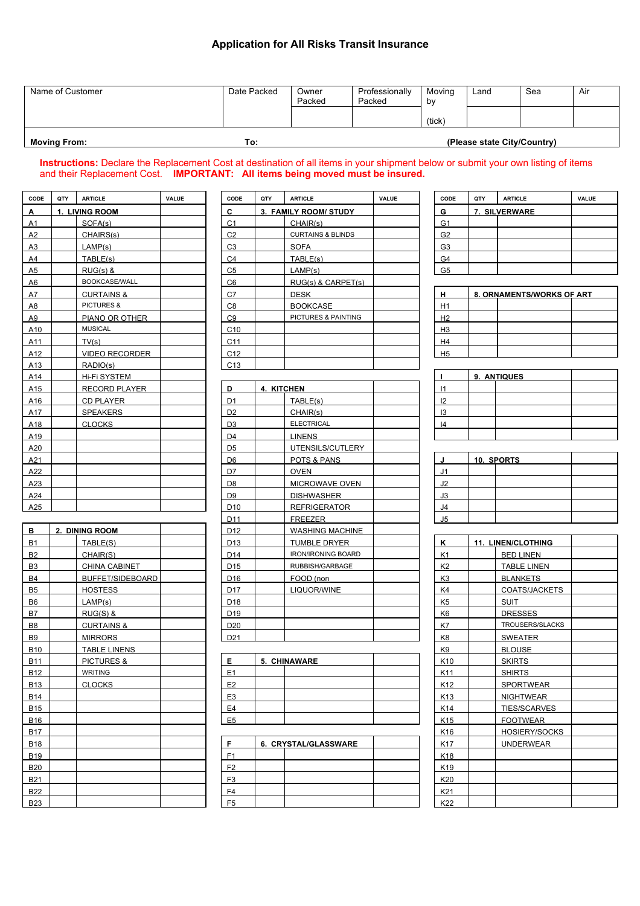# **Application for All Risks Transit Insurance**

| Name of Customer    | Date Packed | Owner<br>Packed | Professionally<br>Packed | Movina<br>bν | Land                        | Sea | Air |
|---------------------|-------------|-----------------|--------------------------|--------------|-----------------------------|-----|-----|
|                     |             |                 |                          | (tick)       |                             |     |     |
| <b>Moving From:</b> | To:         |                 |                          |              | (Please state City/Country) |     |     |

**Instructions:** Declare the Replacement Cost at destination of all items in your shipment below or submit your own listing of items and their Replacement Cost. **IMPORTANT: All items being moved must be insured.**

| CODE            | QTY | <b>ARTICLE</b>        | <b>VALUE</b> | CODE            | QTY                   | <b>ARTICLE</b>               | <b>VALUE</b> | CODE            | QTY | <b>ARTICLE</b>            | VALUE |
|-----------------|-----|-----------------------|--------------|-----------------|-----------------------|------------------------------|--------------|-----------------|-----|---------------------------|-------|
| А               |     | 1. LIVING ROOM        |              | C               | 3. FAMILY ROOM/ STUDY |                              |              | G               |     | 7. SILVERWARE             |       |
| A1              |     | SOFA(s)               |              | C <sub>1</sub>  |                       | CHAIR(s)                     |              | G1              |     |                           |       |
| A2              |     | CHAIRS(s)             |              | C <sub>2</sub>  |                       | <b>CURTAINS &amp; BLINDS</b> |              | G <sub>2</sub>  |     |                           |       |
| A3              |     | LAMP(s)               |              | C <sub>3</sub>  |                       | <b>SOFA</b>                  |              | G <sub>3</sub>  |     |                           |       |
| A4              |     | TABLE(s)              |              | C <sub>4</sub>  |                       | TABLE(s)                     |              | G4              |     |                           |       |
| A5              |     | $RUG(s)$ &            |              | C <sub>5</sub>  |                       | LAMP(s)                      |              | G <sub>5</sub>  |     |                           |       |
| A <sub>6</sub>  |     | BOOKCASE/WALL         |              | C6              |                       | RUG(s) & CARPET(s)           |              |                 |     |                           |       |
| A7              |     | <b>CURTAINS &amp;</b> |              | C7              |                       | <b>DESK</b>                  |              | H               |     | 8. ORNAMENTS/WORKS OF ART |       |
| A8              |     | PICTURES &            |              | C <sub>8</sub>  |                       | <b>BOOKCASE</b>              |              | H1              |     |                           |       |
| A9              |     | PIANO OR OTHER        |              | C9              |                       | PICTURES & PAINTING          |              | H2              |     |                           |       |
| A10             |     | <b>MUSICAL</b>        |              | C10             |                       |                              |              | H <sub>3</sub>  |     |                           |       |
| A11             |     | TV(s)                 |              | C11             |                       |                              |              | H4              |     |                           |       |
| A12             |     | VIDEO RECORDER        |              | C12             |                       |                              |              | H <sub>5</sub>  |     |                           |       |
| A <sub>13</sub> |     | RADIO(s)              |              | C13             |                       |                              |              |                 |     |                           |       |
| A14             |     | Hi-Fi SYSTEM          |              |                 |                       |                              |              |                 |     | 9. ANTIQUES               |       |
| A15             |     | <b>RECORD PLAYER</b>  |              | D               |                       | 4. KITCHEN                   |              | $\vert$ 1       |     |                           |       |
| A16             |     | <b>CD PLAYER</b>      |              | D <sub>1</sub>  |                       | TABLE(s)                     |              | 12              |     |                           |       |
| A17             |     | <b>SPEAKERS</b>       |              | D <sub>2</sub>  |                       | CHAIR(s)                     |              | 13              |     |                           |       |
| A18             |     | <b>CLOCKS</b>         |              | D <sub>3</sub>  |                       | <b>ELECTRICAL</b>            |              | 4               |     |                           |       |
| A19             |     |                       |              | D <sub>4</sub>  |                       | <b>LINENS</b>                |              |                 |     |                           |       |
| A20             |     |                       |              | D <sub>5</sub>  |                       | UTENSILS/CUTLERY             |              |                 |     |                           |       |
| A21             |     |                       |              | D <sub>6</sub>  |                       | POTS & PANS                  |              | J               |     | 10. SPORTS                |       |
| A22             |     |                       |              | D7              |                       | <b>OVEN</b>                  |              | J1              |     |                           |       |
| A23             |     |                       |              | D <sub>8</sub>  |                       | MICROWAVE OVEN               |              | J2              |     |                           |       |
| A24             |     |                       |              | D <sub>9</sub>  |                       | <b>DISHWASHER</b>            |              | J3              |     |                           |       |
| A25             |     |                       |              | D <sub>10</sub> |                       | <b>REFRIGERATOR</b>          |              | J4              |     |                           |       |
|                 |     |                       |              | D11             |                       | FREEZER                      |              | J5              |     |                           |       |
| в               |     | 2. DINING ROOM        |              | D12             |                       | <b>WASHING MACHINE</b>       |              |                 |     |                           |       |
| <b>B1</b>       |     | TABLE(S)              |              | D <sub>13</sub> |                       | <b>TUMBLE DRYER</b>          |              | ĸ               |     | 11. LINEN/CLOTHING        |       |
| <b>B2</b>       |     | CHAIR(S)              |              | D14             |                       | <b>IRON/IRONING BOARD</b>    |              | K <sub>1</sub>  |     | <b>BED LINEN</b>          |       |
| B <sub>3</sub>  |     | CHINA CABINET         |              | D <sub>15</sub> |                       | RUBBISH/GARBAGE              |              | K <sub>2</sub>  |     | <b>TABLE LINEN</b>        |       |
| <b>B4</b>       |     | BUFFET/SIDEBOARD      |              | D <sub>16</sub> |                       | FOOD (non                    |              | K <sub>3</sub>  |     | <b>BLANKETS</b>           |       |
| B <sub>5</sub>  |     | <b>HOSTESS</b>        |              | D17             |                       | LIQUOR/WINE                  |              | K4              |     | COATS/JACKETS             |       |
| B <sub>6</sub>  |     | LAMP(s)               |              | D18             |                       |                              |              | K <sub>5</sub>  |     | <b>SUIT</b>               |       |
| <b>B7</b>       |     | $RUG(S)$ &            |              | D <sub>19</sub> |                       |                              |              | K <sub>6</sub>  |     | <b>DRESSES</b>            |       |
| B <sub>8</sub>  |     | <b>CURTAINS &amp;</b> |              | D <sub>20</sub> |                       |                              |              | K7              |     | TROUSERS/SLACKS           |       |
| B <sub>9</sub>  |     | <b>MIRRORS</b>        |              | D <sub>21</sub> |                       |                              |              | K <sub>8</sub>  |     | <b>SWEATER</b>            |       |
| <b>B10</b>      |     | <b>TABLE LINENS</b>   |              |                 |                       |                              |              | K9              |     | <b>BLOUSE</b>             |       |
| <b>B11</b>      |     | <b>PICTURES &amp;</b> |              | E.              |                       | 5. CHINAWARE                 |              | K <sub>10</sub> |     | <b>SKIRTS</b>             |       |
| <b>B12</b>      |     | <b>WRITING</b>        |              | E1              |                       |                              |              | K11             |     | <b>SHIRTS</b>             |       |
| <b>B13</b>      |     | <b>CLOCKS</b>         |              | E <sub>2</sub>  |                       |                              |              | K12             |     | SPORTWEAR                 |       |
| <b>B14</b>      |     |                       |              | E <sub>3</sub>  |                       |                              |              | K13             |     | <b>NIGHTWEAR</b>          |       |
| <b>B15</b>      |     |                       |              | E <sub>4</sub>  |                       |                              |              | K14             |     | TIES/SCARVES              |       |
|                 |     |                       |              |                 |                       |                              |              |                 |     |                           |       |

| A2              | CHAIRS(s)             | C <sub>2</sub>  | <b>CURTAINS &amp; BLINDS</b> | G <sub>2</sub>  |                           |  |
|-----------------|-----------------------|-----------------|------------------------------|-----------------|---------------------------|--|
| <u>A3</u>       | LAMP(s)               | C <sub>3</sub>  | <b>SOFA</b>                  | G <sub>3</sub>  |                           |  |
| A4              | TABLE(s)              | C <sub>4</sub>  | TABLE(s)                     | G4              |                           |  |
| A5              | $RUG(s)$ &            | C <sub>5</sub>  | LAMP(s)                      | G <sub>5</sub>  |                           |  |
| A6              | BOOKCASE/WALL         | C <sub>6</sub>  | RUG(s) & CARPET(s)           |                 |                           |  |
| A7              | <b>CURTAINS &amp;</b> | C7              | <b>DESK</b>                  | н.              | 8. ORNAMENTS/WORKS OF ART |  |
| 8A              | PICTURES &            | C8              | <b>BOOKCASE</b>              | H1              |                           |  |
| A9              | PIANO OR OTHER        | C <sub>9</sub>  | PICTURES & PAINTING          | H2              |                           |  |
| A10             | <b>MUSICAL</b>        | C10             |                              | H3              |                           |  |
| A11             | TV(s)                 | C11             |                              | H4              |                           |  |
| A12             | <b>VIDEO RECORDER</b> | C12             |                              | H <sub>5</sub>  |                           |  |
| A13             | RADIO(s)              | C13             |                              |                 |                           |  |
| A14             | Hi-Fi SYSTEM          |                 |                              |                 | 9. ANTIQUES               |  |
| A15             | <b>RECORD PLAYER</b>  | D               | 4. KITCHEN                   | 1               |                           |  |
| A16             | <b>CD PLAYER</b>      | D <sub>1</sub>  | TABLE(s)                     | 12              |                           |  |
| A17             | <b>SPEAKERS</b>       | D <sub>2</sub>  | CHAIR(s)                     | 13              |                           |  |
| A18             | <b>CLOCKS</b>         | D <sub>3</sub>  | <b>ELECTRICAL</b>            | 14              |                           |  |
| A19             |                       | D <sub>4</sub>  | <b>LINENS</b>                |                 |                           |  |
| A20             |                       | D <sub>5</sub>  | UTENSILS/CUTLERY             |                 |                           |  |
| A21             |                       | D <sub>6</sub>  | POTS & PANS                  | J               | 10. SPORTS                |  |
| A22             |                       | D7              | <b>OVEN</b>                  | J1              |                           |  |
| A23             |                       | D <sub>8</sub>  | MICROWAVE OVEN               | J2              |                           |  |
| A24             |                       | D <sub>9</sub>  | <b>DISHWASHER</b>            | J3              |                           |  |
| A25             |                       | D <sub>10</sub> | <b>REFRIGERATOR</b>          | J4              |                           |  |
|                 |                       | D11             | FREEZER                      | J5              |                           |  |
| В               | 2. DINING ROOM        | D <sub>12</sub> | <b>WASHING MACHINE</b>       |                 |                           |  |
| B1              | TABLE(S)              | D <sub>13</sub> | <b>TUMBLE DRYER</b>          | Κ               | 11. LINEN/CLOTHING        |  |
| B2              | CHAIR(S)              | D14             | <b>IRON/IRONING BOARD</b>    | K1              | <b>BED LINEN</b>          |  |
| <b>B3</b>       | CHINA CABINET         | D <sub>15</sub> | RUBBISH/GARBAGE              | K <sub>2</sub>  | <b>TABLE LINEN</b>        |  |
| B4              | BUFFET/SIDEBOARD      | D <sub>16</sub> | FOOD (non                    | K <sub>3</sub>  | <b>BLANKETS</b>           |  |
| B5              | <b>HOSTESS</b>        | D <sub>17</sub> | LIQUOR/WINE                  | K4              | COATS/JACKETS             |  |
| <b>B6</b>       | LAMP(s)               | D <sub>18</sub> |                              | K <sub>5</sub>  | SUIT                      |  |
| В7              | $RUG(S)$ &            | D <sub>19</sub> |                              | K6              | <b>DRESSES</b>            |  |
| B8              | <b>CURTAINS &amp;</b> | D <sub>20</sub> |                              | K7              | TROUSERS/SLACKS           |  |
| B9              | <b>MIRRORS</b>        | D <sub>21</sub> |                              | K <sub>8</sub>  | <b>SWEATER</b>            |  |
| B10             | <b>TABLE LINENS</b>   |                 |                              | K9              | <b>BLOUSE</b>             |  |
| B <sub>11</sub> | <b>PICTURES &amp;</b> | Е               | 5. CHINAWARE                 | K <sub>10</sub> | <b>SKIRTS</b>             |  |
| B12             | <b>WRITING</b>        | E <sub>1</sub>  |                              | K11             | <b>SHIRTS</b>             |  |
| B <sub>13</sub> | <b>CLOCKS</b>         | E2              |                              | K12             | <b>SPORTWEAR</b>          |  |
| B14             |                       | E <sub>3</sub>  |                              | K <sub>13</sub> | NIGHTWEAR                 |  |
| $\sim$ $\sim$   |                       | $-4$            |                              | $\overline{1}$  | TIRO(0010)                |  |

| $- \cdot \cdot$ |                |                      | .   | .                |
|-----------------|----------------|----------------------|-----|------------------|
| B18             |                | 6. CRYSTAL/GLASSWARE | K17 | <b>UNDERWEAR</b> |
| B19             | F <sub>1</sub> |                      | K18 |                  |
| <b>B20</b>      | E2             |                      | K19 |                  |
| <b>B21</b>      | F <sub>3</sub> |                      | K20 |                  |
| <b>B22</b>      | F <sub>4</sub> |                      | K21 |                  |
| B23             | F <sub>5</sub> |                      | K22 |                  |

| CODE           | QTY | <b>ARTICLE</b> | <b>VALUE</b> |
|----------------|-----|----------------|--------------|
| G              |     | 7. SILVERWARE  |              |
| G <sub>1</sub> |     |                |              |
| G <sub>2</sub> |     |                |              |
| G <sub>3</sub> |     |                |              |
| G <sub>4</sub> |     |                |              |
| G5             |     |                |              |
|                |     |                |              |

| н              | 8. ORNAMENTS/WORKS OF ART |  |  |  |  |  |  |
|----------------|---------------------------|--|--|--|--|--|--|
| H1             |                           |  |  |  |  |  |  |
| H <sub>2</sub> |                           |  |  |  |  |  |  |
| H <sub>3</sub> |                           |  |  |  |  |  |  |
| H4             |                           |  |  |  |  |  |  |
| H5             |                           |  |  |  |  |  |  |

|    | 9. ANTIQUES |  |
|----|-------------|--|
|    |             |  |
| 12 |             |  |
| I3 |             |  |
| 14 |             |  |
|    |             |  |

|                | 10. SPORTS |  |
|----------------|------------|--|
|                |            |  |
| J2             |            |  |
| J3             |            |  |
| J4             |            |  |
| J <sub>5</sub> |            |  |

| В1              | TABLE(S)              | D <sub>13</sub> | <b>TUMBLE DRYER</b>       | K               | <b>11. LINEN/CLOTHING</b> |  |
|-----------------|-----------------------|-----------------|---------------------------|-----------------|---------------------------|--|
| B2              | CHAIR(S)              | D <sub>14</sub> | <b>IRON/IRONING BOARD</b> | K <sub>1</sub>  | <b>BED LINEN</b>          |  |
| B3              | CHINA CABINET         | D <sub>15</sub> | RUBBISH/GARBAGE           | K <sub>2</sub>  | <b>TABLE LINEN</b>        |  |
| В4              | BUFFET/SIDEBOARD      | D <sub>16</sub> | FOOD (non                 | K <sub>3</sub>  | <b>BLANKETS</b>           |  |
| В5              | <b>HOSTESS</b>        | D <sub>17</sub> | LIQUOR/WINE               | K4              | COATS/JACKETS             |  |
| B6              | LAMP(s)               | D <sub>18</sub> |                           | K <sub>5</sub>  | <b>SUIT</b>               |  |
| B7              | $RUG(S)$ &            | D <sub>19</sub> |                           | K <sub>6</sub>  | <b>DRESSES</b>            |  |
| B8              | <b>CURTAINS &amp;</b> | D <sub>20</sub> |                           | K7              | TROUSERS/SLACKS           |  |
| B9              | <b>MIRRORS</b>        | D <sub>21</sub> |                           | K <sub>8</sub>  | <b>SWEATER</b>            |  |
| B <sub>10</sub> | <b>TABLE LINENS</b>   |                 |                           | K <sub>9</sub>  | <b>BLOUSE</b>             |  |
| B11             | <b>PICTURES &amp;</b> | Е               | 5. CHINAWARE              | K <sub>10</sub> | <b>SKIRTS</b>             |  |
| B12             | <b>WRITING</b>        | E <sub>1</sub>  |                           | K11             | <b>SHIRTS</b>             |  |
| B13             | <b>CLOCKS</b>         | E2              |                           | K <sub>12</sub> | <b>SPORTWEAR</b>          |  |
| B14             |                       | E <sub>3</sub>  |                           | K <sub>13</sub> | <b>NIGHTWEAR</b>          |  |
| B <sub>15</sub> |                       | E4              |                           | K14             | TIES/SCARVES              |  |
| B <sub>16</sub> |                       | E <sub>5</sub>  |                           | K <sub>15</sub> | <b>FOOTWEAR</b>           |  |
| B17             |                       |                 |                           | K16             | HOSIERY/SOCKS             |  |
| B <sub>18</sub> |                       | F               | 6. CRYSTAL/GLASSWARE      | K17             | <b>UNDERWEAR</b>          |  |
| B19             |                       | F1              |                           | K18             |                           |  |
| B <sub>20</sub> |                       | F <sub>2</sub>  |                           | K <sub>19</sub> |                           |  |
| B <sub>21</sub> |                       | F <sub>3</sub>  |                           | K20             |                           |  |
| B <sub>22</sub> |                       | F <sub>4</sub>  |                           | K21             |                           |  |
| B23             |                       | F <sub>5</sub>  |                           | K22             |                           |  |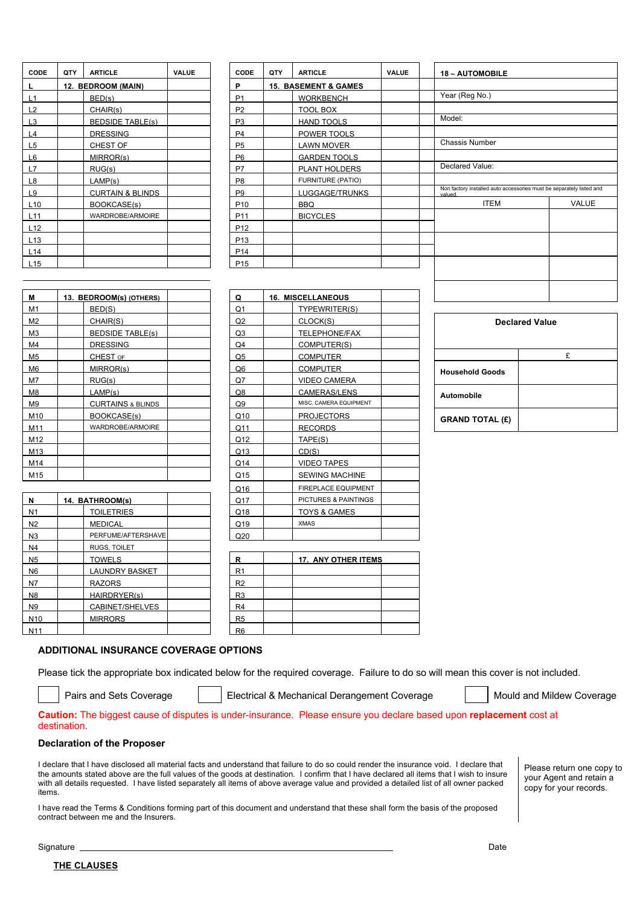| CODE            | QTY | <b>ARTICLE</b>              | <b>VALUE</b> | CODE            | QTY | <b>ARTICLE</b>                  |
|-----------------|-----|-----------------------------|--------------|-----------------|-----|---------------------------------|
|                 |     | 12. BEDROOM (MAIN)          |              | P               |     | <b>15. BASEMENT &amp; GAMES</b> |
| L1              |     | BED(s)                      |              | P <sub>1</sub>  |     | <b>WORKBENCH</b>                |
| L <sub>2</sub>  |     | CHAIR(s)                    |              | P <sub>2</sub>  |     | TOOL BOX                        |
| L3              |     | <b>BEDSIDE TABLE(s)</b>     |              | P <sub>3</sub>  |     | <b>HAND TOOLS</b>               |
| L4              |     | <b>DRESSING</b>             |              | P <sub>4</sub>  |     | POWER TOOLS                     |
| L <sub>5</sub>  |     | CHEST OF                    |              | P <sub>5</sub>  |     | <b>LAWN MOVER</b>               |
| L6              |     | MIRROR(s)                   |              | P <sub>6</sub>  |     | <b>GARDEN TOOLS</b>             |
| L7              |     | RUG(s)                      |              | P7              |     | PLANT HOLDERS                   |
| L8              |     | LAMP(s)                     |              | P <sub>8</sub>  |     | <b>FURNITURE (PATIO)</b>        |
| L9              |     | <b>CURTAIN &amp; BLINDS</b> |              | P <sub>9</sub>  |     | LUGGAGE/TRUNK                   |
| L10             |     | BOOKCASE(s)                 |              | P <sub>10</sub> |     | <b>BBQ</b>                      |
| L11             |     | <b>WARDROBE/ARMOIRE</b>     |              | P <sub>11</sub> |     | <b>BICYCLES</b>                 |
| L12             |     |                             |              | P <sub>12</sub> |     |                                 |
| L <sub>13</sub> |     |                             |              | P <sub>13</sub> |     |                                 |
| L14             |     |                             |              | P <sub>14</sub> |     |                                 |
| L <sub>15</sub> |     |                             |              | P <sub>15</sub> |     |                                 |

| CODE       | QTY | <b>ARTICLE</b>              | VALUE | CODE            | QTY | <b>ARTICLE</b>                  | <b>VALUE</b> | <b>18 - AUTOMOBILE</b>                                                         |              |
|------------|-----|-----------------------------|-------|-----------------|-----|---------------------------------|--------------|--------------------------------------------------------------------------------|--------------|
| L.         |     | 12. BEDROOM (MAIN)          |       | P               |     | <b>15. BASEMENT &amp; GAMES</b> |              |                                                                                |              |
| <u>L1</u>  |     | BED(s)                      |       | P <sub>1</sub>  |     | <b>WORKBENCH</b>                |              | Year (Reg No.)                                                                 |              |
| <u>L2</u>  |     | CHAIR(s)                    |       | P <sub>2</sub>  |     | <b>TOOL BOX</b>                 |              |                                                                                |              |
| L3         |     | <b>BEDSIDE TABLE(s)</b>     |       | P <sub>3</sub>  |     | <b>HAND TOOLS</b>               |              | Model:                                                                         |              |
| <u>L4</u>  |     | <b>DRESSING</b>             |       | P <sub>4</sub>  |     | POWER TOOLS                     |              |                                                                                |              |
| <u>L5</u>  |     | CHEST OF                    |       | P <sub>5</sub>  |     | <b>LAWN MOVER</b>               |              | <b>Chassis Number</b>                                                          |              |
| <u>L6</u>  |     | MIRROR(s)                   |       | P <sub>6</sub>  |     | <b>GARDEN TOOLS</b>             |              |                                                                                |              |
| L7         |     | RUG(s)                      |       | P7              |     | PLANT HOLDERS                   |              | Declared Value:                                                                |              |
| L8         |     | LAMP(s)                     |       | P <sub>8</sub>  |     | FURNITURE (PATIO)               |              |                                                                                |              |
| <u>L9</u>  |     | <b>CURTAIN &amp; BLINDS</b> |       | P <sub>9</sub>  |     | LUGGAGE/TRUNKS                  |              | Non factory installed auto accessories must be separately listed and<br>valued |              |
| L10        |     | BOOKCASE(s)                 |       | P <sub>10</sub> |     | <b>BBQ</b>                      |              | <b>ITEM</b>                                                                    | <b>VALUE</b> |
| <u>L11</u> |     | WARDROBE/ARMOIRE            |       | P <sub>11</sub> |     | <b>BICYCLES</b>                 |              |                                                                                |              |
| <u>L12</u> |     |                             |       | P <sub>12</sub> |     |                                 |              |                                                                                |              |
| L13        |     |                             |       | P <sub>13</sub> |     |                                 |              |                                                                                |              |
| L14        |     |                             |       | P <sub>14</sub> |     |                                 |              |                                                                                |              |
| l 15       |     |                             |       | P <sub>15</sub> |     |                                 |              |                                                                                |              |

| М<br>13. BEDROOM(s) (OTHERS) |                              | Q              | <b>16. MISCELLANEOUS</b> |
|------------------------------|------------------------------|----------------|--------------------------|
| M1                           | BED(S)                       | Q1             | TYPEWRITER(S)            |
| M2                           | CHAIR(S)                     | Q <sub>2</sub> | CLOCK(S)                 |
| M <sub>3</sub>               | <b>BEDSIDE TABLE(s)</b>      | Q3             | TELEPHONE/FAX            |
| M4                           | <b>DRESSING</b>              | Q4             | COMPUTER(S)              |
| M5                           | CHEST OF                     | Q5             | <b>COMPUTER</b>          |
| M <sub>6</sub>               | MIRROR(s)                    | Q <sub>6</sub> | <b>COMPUTER</b>          |
| M7                           | RUG(s)                       | Q7             | <b>VIDEO CAMERA</b>      |
| M8                           | LAMP(s)                      | Q8             | <b>CAMERAS/LENS</b>      |
| M9                           | <b>CURTAINS &amp; BLINDS</b> | Q9             | MISC. CAMERA EQUIPMENT   |
| M10                          | <b>BOOKCASE(s)</b>           | Q10            | <b>PROJECTORS</b>        |
| M11                          | <b>WARDROBE/ARMOIRE</b>      | Q11            | <b>RECORDS</b>           |
| M12                          |                              | Q12            | TAPE(S)                  |
| M <sub>13</sub>              |                              | Q13            | CD(S)                    |
| M14                          |                              | Q14            | <b>VIDEO TAPES</b>       |
| M15                          |                              | Q15            | <b>SEWING MACHINE</b>    |

|                 |                       | ∾י∝            |                                 |
|-----------------|-----------------------|----------------|---------------------------------|
| N               | 14. BATHROOM(s)       | Q17            | <b>PICTURES &amp; PAINTINGS</b> |
| N <sub>1</sub>  | <b>TOILETRIES</b>     | Q18            | <b>TOYS &amp; GAMES</b>         |
| N <sub>2</sub>  | <b>MEDICAL</b>        | Q19            | <b>XMAS</b>                     |
| N <sub>3</sub>  | PERFUME/AFTERSHAVE    | Q20            |                                 |
| N4              | RUGS, TOILET          |                |                                 |
| N <sub>5</sub>  | <b>TOWELS</b>         | R              | <b>17. ANY OTHER ITEMS</b>      |
| N6              | <b>LAUNDRY BASKET</b> | R <sub>1</sub> |                                 |
| N7              | <b>RAZORS</b>         | R <sub>2</sub> |                                 |
| N <sub>8</sub>  | HAIRDRYER(s)          | R <sub>3</sub> |                                 |
| N9              | CABINET/SHELVES       | R <sub>4</sub> |                                 |
| N <sub>10</sub> | <b>MIRRORS</b>        | R <sub>5</sub> |                                 |
| N <sub>11</sub> |                       | R <sub>6</sub> |                                 |

| Μ        | 13. BEDROOM(s) (OTHERS)      | Q              | <b>16. MISCELLANEOUS</b> |                        |                       |
|----------|------------------------------|----------------|--------------------------|------------------------|-----------------------|
| М1       | BED(S)                       | Q <sub>1</sub> | TYPEWRITER(S)            |                        |                       |
| M2       | CHAIR(S)                     | Q2             | CLOCK(S)                 |                        | <b>Declared Value</b> |
| MЗ       | <b>BEDSIDE TABLE(s)</b>      | Q3             | TELEPHONE/FAX            |                        |                       |
| M4       | <b>DRESSING</b>              | Q <sub>4</sub> | COMPUTER(S)              |                        |                       |
| M5       | CHEST OF                     | Q <sub>5</sub> | <b>COMPUTER</b>          |                        | £                     |
| M6       | MIRROR(s)                    | Q <sub>6</sub> | <b>COMPUTER</b>          | <b>Household Goods</b> |                       |
| M7       | RUG(s)                       | Q7             | <b>VIDEO CAMERA</b>      |                        |                       |
| M8       | LAMP(s)                      | Q8             | CAMERAS/LENS             | Automobile             |                       |
| M9       | <b>CURTAINS &amp; BLINDS</b> | Q9             | MISC. CAMERA EQUIPMENT   |                        |                       |
| M10      | BOOKCASE(s)                  | Q10            | <b>PROJECTORS</b>        | <b>GRAND TOTAL (£)</b> |                       |
| M11      | WARDROBE/ARMOIRE             | Q11            | <b>RECORDS</b>           |                        |                       |
| M12      |                              | Q12            | TAPE(S)                  |                        |                       |
| M13      |                              | Q13            | CD(S)                    |                        |                       |
| M14      |                              | Q14            | <b>VIDEO TAPES</b>       |                        |                       |
| M15      |                              | Q15            | <b>SEWING MACHINE</b>    |                        |                       |
|          |                              | Q16            | FIREPLACE EQUIPMENT      |                        |                       |
| <u>N</u> | 14. BATHROOM(s)              | Q17            | PICTURES & PAINTINGS     |                        |                       |
| N1       | <b>TOILETRIES</b>            | Q18            | TOYS & GAMES             |                        |                       |
| N2       | <b>MEDICAL</b>               | Q19            | <b>XMAS</b>              |                        |                       |
| N3       | PERFUME/AFTERSHAVE           | Q20            |                          |                        |                       |

| R                    | <b>17. ANY OTHER ITEMS</b> |  |
|----------------------|----------------------------|--|
| R <sub>1</sub>       |                            |  |
| R2                   |                            |  |
| R <sub>3</sub>       |                            |  |
| R <sub>4</sub>       |                            |  |
| R <sub>5</sub>       |                            |  |
| <b>D<sub>R</sub></b> |                            |  |

| <b>Declared Value</b>  |   |  |  |  |  |
|------------------------|---|--|--|--|--|
|                        | £ |  |  |  |  |
| <b>Household Goods</b> |   |  |  |  |  |
| <b>Automobile</b>      |   |  |  |  |  |
| <b>GRAND TOTAL (£)</b> |   |  |  |  |  |

### **ADDITIONAL INSURANCE COVERAGE OPTIONS**

Please tick the appropriate box indicated below for the required coverage. Failure to do so will mean this cover is not included.

Pairs and Sets Coverage | Electrical & Mechanical Derangement Coverage | Mould and Mildew Coverage

**Caution:** The biggest cause of disputes is under-insurance. Please ensure you declare based upon **replacement** cost at destination.

### **Declaration of the Proposer**

I declare that I have disclosed all material facts and understand that failure to do so could render the insurance void. I declare that the amounts stated above are the full values of the goods at destination. I confirm that I have declared all items that I wish to insure with all details requested. I have listed separately all items of above average value and provided a detailed list of all owner packed items.

Please return one copy to your Agent and retain a copy for your records.

I have read the Terms & Conditions forming part of this document and understand that these shall form the basis of the proposed contract between me and the Insurers.

Signature Date Date Date Control of the Control of the Control of the Control of the Date Date Date Date Date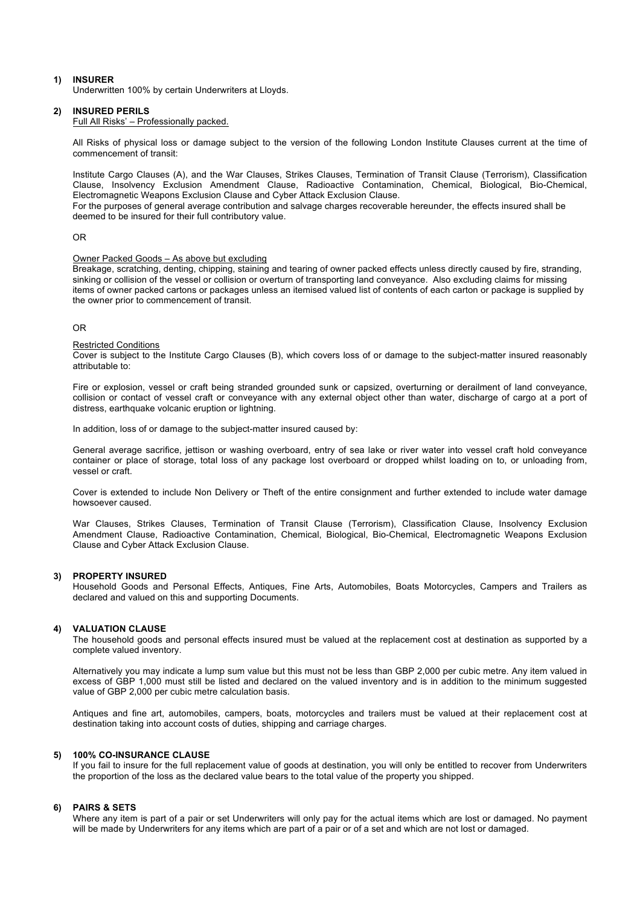### **1) INSURER**

Underwritten 100% by certain Underwriters at Lloyds.

# **2) INSURED PERILS**

Full All Risks' – Professionally packed.

All Risks of physical loss or damage subject to the version of the following London Institute Clauses current at the time of commencement of transit:

Institute Cargo Clauses (A), and the War Clauses, Strikes Clauses, Termination of Transit Clause (Terrorism), Classification Clause, Insolvency Exclusion Amendment Clause, Radioactive Contamination, Chemical, Biological, Bio-Chemical, Electromagnetic Weapons Exclusion Clause and Cyber Attack Exclusion Clause.

For the purposes of general average contribution and salvage charges recoverable hereunder, the effects insured shall be deemed to be insured for their full contributory value.

#### OR

#### Owner Packed Goods – As above but excluding

Breakage, scratching, denting, chipping, staining and tearing of owner packed effects unless directly caused by fire, stranding, sinking or collision of the vessel or collision or overturn of transporting land conveyance. Also excluding claims for missing items of owner packed cartons or packages unless an itemised valued list of contents of each carton or package is supplied by the owner prior to commencement of transit.

### OR

#### Restricted Conditions

Cover is subject to the Institute Cargo Clauses (B), which covers loss of or damage to the subject-matter insured reasonably attributable to:

Fire or explosion, vessel or craft being stranded grounded sunk or capsized, overturning or derailment of land conveyance, collision or contact of vessel craft or conveyance with any external object other than water, discharge of cargo at a port of distress, earthquake volcanic eruption or lightning.

In addition, loss of or damage to the subject-matter insured caused by:

General average sacrifice, jettison or washing overboard, entry of sea lake or river water into vessel craft hold conveyance container or place of storage, total loss of any package lost overboard or dropped whilst loading on to, or unloading from, vessel or craft.

Cover is extended to include Non Delivery or Theft of the entire consignment and further extended to include water damage howsoever caused.

War Clauses, Strikes Clauses, Termination of Transit Clause (Terrorism), Classification Clause, Insolvency Exclusion Amendment Clause, Radioactive Contamination, Chemical, Biological, Bio-Chemical, Electromagnetic Weapons Exclusion Clause and Cyber Attack Exclusion Clause.

#### **3) PROPERTY INSURED**

Household Goods and Personal Effects, Antiques, Fine Arts, Automobiles, Boats Motorcycles, Campers and Trailers as declared and valued on this and supporting Documents.

#### **4) VALUATION CLAUSE**

The household goods and personal effects insured must be valued at the replacement cost at destination as supported by a complete valued inventory.

Alternatively you may indicate a lump sum value but this must not be less than GBP 2,000 per cubic metre. Any item valued in excess of GBP 1,000 must still be listed and declared on the valued inventory and is in addition to the minimum suggested value of GBP 2,000 per cubic metre calculation basis.

Antiques and fine art, automobiles, campers, boats, motorcycles and trailers must be valued at their replacement cost at destination taking into account costs of duties, shipping and carriage charges.

#### **5) 100% CO-INSURANCE CLAUSE**

If you fail to insure for the full replacement value of goods at destination, you will only be entitled to recover from Underwriters the proportion of the loss as the declared value bears to the total value of the property you shipped.

### **6) PAIRS & SETS**

Where any item is part of a pair or set Underwriters will only pay for the actual items which are lost or damaged. No payment will be made by Underwriters for any items which are part of a pair or of a set and which are not lost or damaged.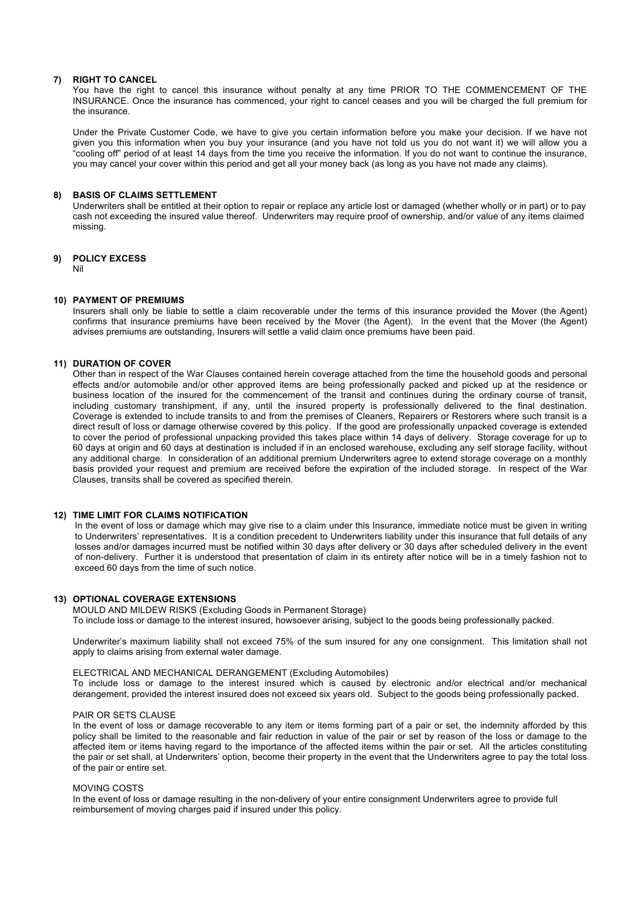### **7) RIGHT TO CANCEL**

You have the right to cancel this insurance without penalty at any time PRIOR TO THE COMMENCEMENT OF THE INSURANCE. Once the insurance has commenced, your right to cancel ceases and you will be charged the full premium for the insurance.

Under the Private Customer Code, we have to give you certain information before you make your decision. If we have not given you this information when you buy your insurance (and you have not told us you do not want it) we will allow you a "cooling off" period of at least 14 days from the time you receive the information. If you do not want to continue the insurance, you may cancel your cover within this period and get all your money back (as long as you have not made any claims).

### **8) BASIS OF CLAIMS SETTLEMENT**

Underwriters shall be entitled at their option to repair or replace any article lost or damaged (whether wholly or in part) or to pay cash not exceeding the insured value thereof. Underwriters may require proof of ownership, and/or value of any items claimed missing.

### **9) POLICY EXCESS**

Nil

### **10) PAYMENT OF PREMIUMS**

Insurers shall only be liable to settle a claim recoverable under the terms of this insurance provided the Mover (the Agent) confirms that insurance premiums have been received by the Mover (the Agent). In the event that the Mover (the Agent) advises premiums are outstanding, Insurers will settle a valid claim once premiums have been paid.

# **11) DURATION OF COVER**

Other than in respect of the War Clauses contained herein coverage attached from the time the household goods and personal effects and/or automobile and/or other approved items are being professionally packed and picked up at the residence or business location of the insured for the commencement of the transit and continues during the ordinary course of transit, including customary transhipment, if any, until the insured property is professionally delivered to the final destination. Coverage is extended to include transits to and from the premises of Cleaners, Repairers or Restorers where such transit is a direct result of loss or damage otherwise covered by this policy. If the good are professionally unpacked coverage is extended to cover the period of professional unpacking provided this takes place within 14 days of delivery. Storage coverage for up to 60 days at origin and 60 days at destination is included if in an enclosed warehouse, excluding any self storage facility, without any additional charge. In consideration of an additional premium Underwriters agree to extend storage coverage on a monthly basis provided your request and premium are received before the expiration of the included storage. In respect of the War Clauses, transits shall be covered as specified therein.

### **12) TIME LIMIT FOR CLAIMS NOTIFICATION**

In the event of loss or damage which may give rise to a claim under this Insurance, immediate notice must be given in writing to Underwriters' representatives. It is a condition precedent to Underwriters liability under this insurance that full details of any losses and/or damages incurred must be notified within 30 days after delivery or 30 days after scheduled delivery in the event of non-delivery. Further it is understood that presentation of claim in its entirety after notice will be in a timely fashion not to exceed 60 days from the time of such notice.

### **13) OPTIONAL COVERAGE EXTENSIONS**

MOULD AND MILDEW RISKS (Excluding Goods in Permanent Storage) To include loss or damage to the interest insured, howsoever arising, subject to the goods being professionally packed.

Underwriter's maximum liability shall not exceed 75% of the sum insured for any one consignment. This limitation shall not apply to claims arising from external water damage.

### ELECTRICAL AND MECHANICAL DERANGEMENT (Excluding Automobiles)

To include loss or damage to the interest insured which is caused by electronic and/or electrical and/or mechanical derangement, provided the interest insured does not exceed six years old. Subject to the goods being professionally packed.

### PAIR OR SETS CLAUSE

In the event of loss or damage recoverable to any item or items forming part of a pair or set, the indemnity afforded by this policy shall be limited to the reasonable and fair reduction in value of the pair or set by reason of the loss or damage to the affected item or items having regard to the importance of the affected items within the pair or set. All the articles constituting the pair or set shall, at Underwriters' option, become their property in the event that the Underwriters agree to pay the total loss of the pair or entire set.

### MOVING COSTS

In the event of loss or damage resulting in the non-delivery of your entire consignment Underwriters agree to provide full reimbursement of moving charges paid if insured under this policy.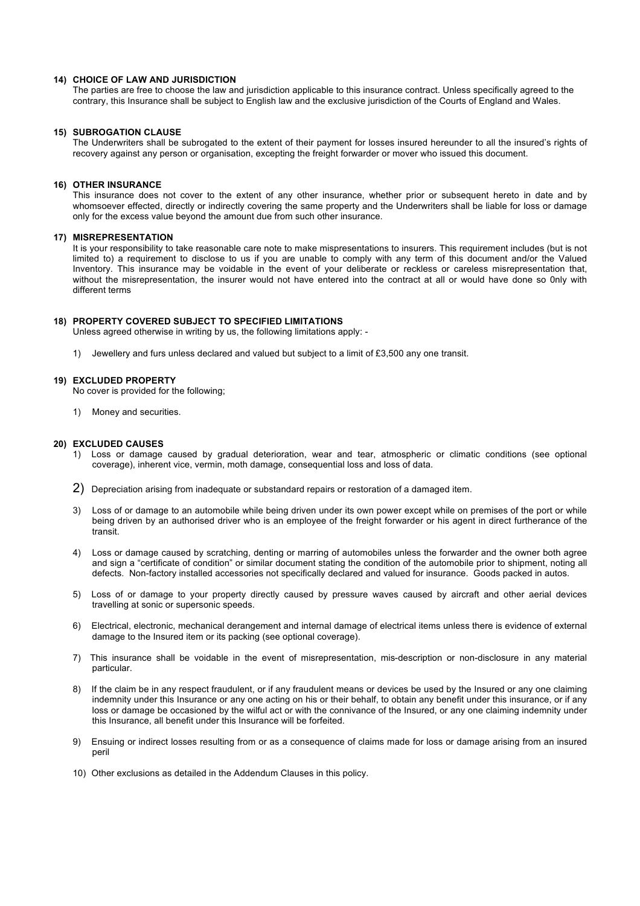### **14) CHOICE OF LAW AND JURISDICTION**

The parties are free to choose the law and jurisdiction applicable to this insurance contract. Unless specifically agreed to the contrary, this Insurance shall be subject to English law and the exclusive jurisdiction of the Courts of England and Wales.

### **15) SUBROGATION CLAUSE**

The Underwriters shall be subrogated to the extent of their payment for losses insured hereunder to all the insured's rights of recovery against any person or organisation, excepting the freight forwarder or mover who issued this document.

#### **16) OTHER INSURANCE**

This insurance does not cover to the extent of any other insurance, whether prior or subsequent hereto in date and by whomsoever effected, directly or indirectly covering the same property and the Underwriters shall be liable for loss or damage only for the excess value beyond the amount due from such other insurance.

#### **17) MISREPRESENTATION**

It is your responsibility to take reasonable care note to make mispresentations to insurers. This requirement includes (but is not limited to) a requirement to disclose to us if you are unable to comply with any term of this document and/or the Valued Inventory. This insurance may be voidable in the event of your deliberate or reckless or careless misrepresentation that, without the misrepresentation, the insurer would not have entered into the contract at all or would have done so 0nly with different terms

#### **18) PROPERTY COVERED SUBJECT TO SPECIFIED LIMITATIONS**

Unless agreed otherwise in writing by us, the following limitations apply: -

1) Jewellery and furs unless declared and valued but subject to a limit of £3,500 any one transit.

#### **19) EXCLUDED PROPERTY**

No cover is provided for the following;

1) Money and securities.

### **20) EXCLUDED CAUSES**

- 1) Loss or damage caused by gradual deterioration, wear and tear, atmospheric or climatic conditions (see optional coverage), inherent vice, vermin, moth damage, consequential loss and loss of data.
- 2) Depreciation arising from inadequate or substandard repairs or restoration of a damaged item.
- 3) Loss of or damage to an automobile while being driven under its own power except while on premises of the port or while being driven by an authorised driver who is an employee of the freight forwarder or his agent in direct furtherance of the transit.
- 4) Loss or damage caused by scratching, denting or marring of automobiles unless the forwarder and the owner both agree and sign a "certificate of condition" or similar document stating the condition of the automobile prior to shipment, noting all defects. Non-factory installed accessories not specifically declared and valued for insurance. Goods packed in autos.
- 5) Loss of or damage to your property directly caused by pressure waves caused by aircraft and other aerial devices travelling at sonic or supersonic speeds.
- 6) Electrical, electronic, mechanical derangement and internal damage of electrical items unless there is evidence of external damage to the Insured item or its packing (see optional coverage).
- 7) This insurance shall be voidable in the event of misrepresentation, mis-description or non-disclosure in any material particular.
- 8) If the claim be in any respect fraudulent, or if any fraudulent means or devices be used by the Insured or any one claiming indemnity under this Insurance or any one acting on his or their behalf, to obtain any benefit under this insurance, or if any loss or damage be occasioned by the wilful act or with the connivance of the Insured, or any one claiming indemnity under this Insurance, all benefit under this Insurance will be forfeited.
- 9) Ensuing or indirect losses resulting from or as a consequence of claims made for loss or damage arising from an insured peril
- 10) Other exclusions as detailed in the Addendum Clauses in this policy.